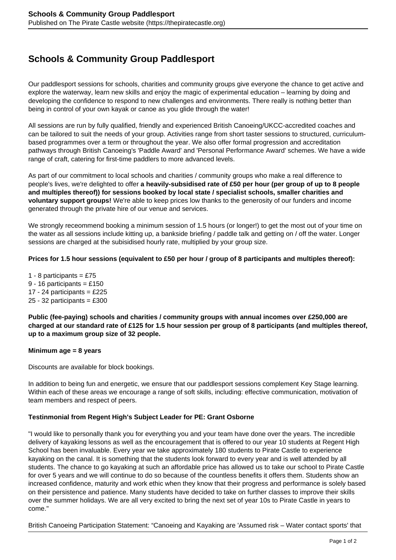# **Schools & Community Group Paddlesport**

Our paddlesport sessions for schools, charities and community groups give everyone the chance to get active and explore the waterway, learn new skills and enjoy the magic of experimental education – learning by doing and developing the confidence to respond to new challenges and environments. There really is nothing better than being in control of your own kayak or canoe as you glide through the water!

All sessions are run by fully qualified, friendly and experienced British Canoeing/UKCC-accredited coaches and can be tailored to suit the needs of your group. Activities range from short taster sessions to structured, curriculumbased programmes over a term or throughout the year. We also offer formal progression and accreditation pathways through British Canoeing's 'Paddle Award' and 'Personal Performance Award' schemes. We have a wide range of craft, catering for first-time paddlers to more advanced levels.

As part of our commitment to local schools and charities / community groups who make a real difference to people's lives, we're delighted to offer **a heavily-subsidised rate of £50 per hour (per group of up to 8 people and multiples thereof)) for sessions booked by local state / specialist schools, smaller charities and voluntary support groups!** We're able to keep prices low thanks to the generosity of our funders and income generated through the private hire of our venue and services.

We strongly receommend booking a minimum session of 1.5 hours (or longer!) to get the most out of your time on the water as all sessions include kitting up, a bankside briefing / paddle talk and getting on / off the water. Longer sessions are charged at the subisidised hourly rate, multiplied by your group size.

### **Prices for 1.5 hour sessions (equivalent to £50 per hour / group of 8 participants and multiples thereof):**

1 - 8 participants =  $£75$ 9 - 16 participants =  $£150$ 17 - 24 participants =  $£225$  $25 - 32$  participants = £300

**Public (fee-paying) schools and charities / community groups with annual incomes over £250,000 are charged at our standard rate of £125 for 1.5 hour session per group of 8 participants (and multiples thereof, up to a maximum group size of 32 people.**

#### **Minimum age = 8 years**

Discounts are available for block bookings.

In addition to being fun and energetic, we ensure that our paddlesport sessions complement Key Stage learning. Within each of these areas we encourage a range of soft skills, including: effective communication, motivation of team members and respect of peers.

## **Testinmonial from Regent High's Subject Leader for PE: Grant Osborne**

"I would like to personally thank you for everything you and your team have done over the years. The incredible delivery of kayaking lessons as well as the encouragement that is offered to our year 10 students at Regent High School has been invaluable. Every year we take approximately 180 students to Pirate Castle to experience kayaking on the canal. It is something that the students look forward to every year and is well attended by all students. The chance to go kayaking at such an affordable price has allowed us to take our school to Pirate Castle for over 5 years and we will continue to do so because of the countless benefits it offers them. Students show an increased confidence, maturity and work ethic when they know that their progress and performance is solely based on their persistence and patience. Many students have decided to take on further classes to improve their skills over the summer holidays. We are all very excited to bring the next set of year 10s to Pirate Castle in years to come."

British Canoeing Participation Statement: "Canoeing and Kayaking are 'Assumed risk – Water contact sports' that